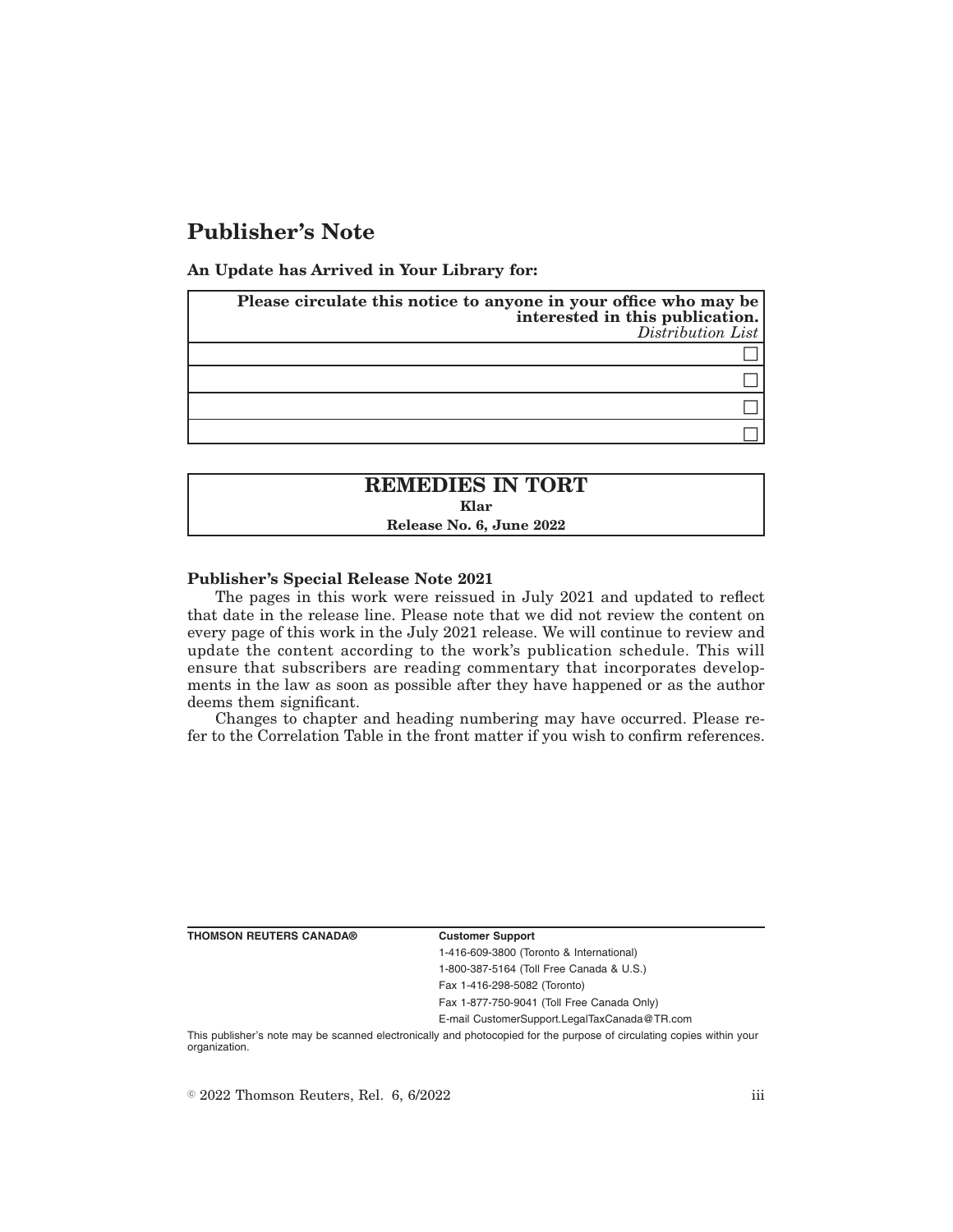# **Publisher's Note**

**An Update has Arrived in Your Library for:**

| Please circulate this notice to anyone in your office who may be<br>interested in this publication.<br>Distribution List |
|--------------------------------------------------------------------------------------------------------------------------|
|                                                                                                                          |
|                                                                                                                          |
|                                                                                                                          |
|                                                                                                                          |

## **REMEDIES IN TORT Klar Release No. 6, June 2022**

## **Publisher's Special Release Note 2021**

The pages in this work were reissued in July 2021 and updated to reflect that date in the release line. Please note that we did not review the content on every page of this work in the July 2021 release. We will continue to review and update the content according to the work's publication schedule. This will ensure that subscribers are reading commentary that incorporates developments in the law as soon as possible after they have happened or as the author deems them significant.

Changes to chapter and heading numbering may have occurred. Please refer to the Correlation Table in the front matter if you wish to confirm references.

| THOMSON REUTERS CANADA® |  |  |  |
|-------------------------|--|--|--|
|-------------------------|--|--|--|

#### **Customer Support**

1-416-609-3800 (Toronto & International) 1-800-387-5164 (Toll Free Canada & U.S.)

Fax 1-416-298-5082 (Toronto)

Fax 1-877-750-9041 (Toll Free Canada Only)

E-mail CustomerSupport.LegalTaxCanada@TR.com

This publisher's note may be scanned electronically and photocopied for the purpose of circulating copies within your organization.

 $\degree$  2022 Thomson Reuters, Rel. 6, 6/2022 iii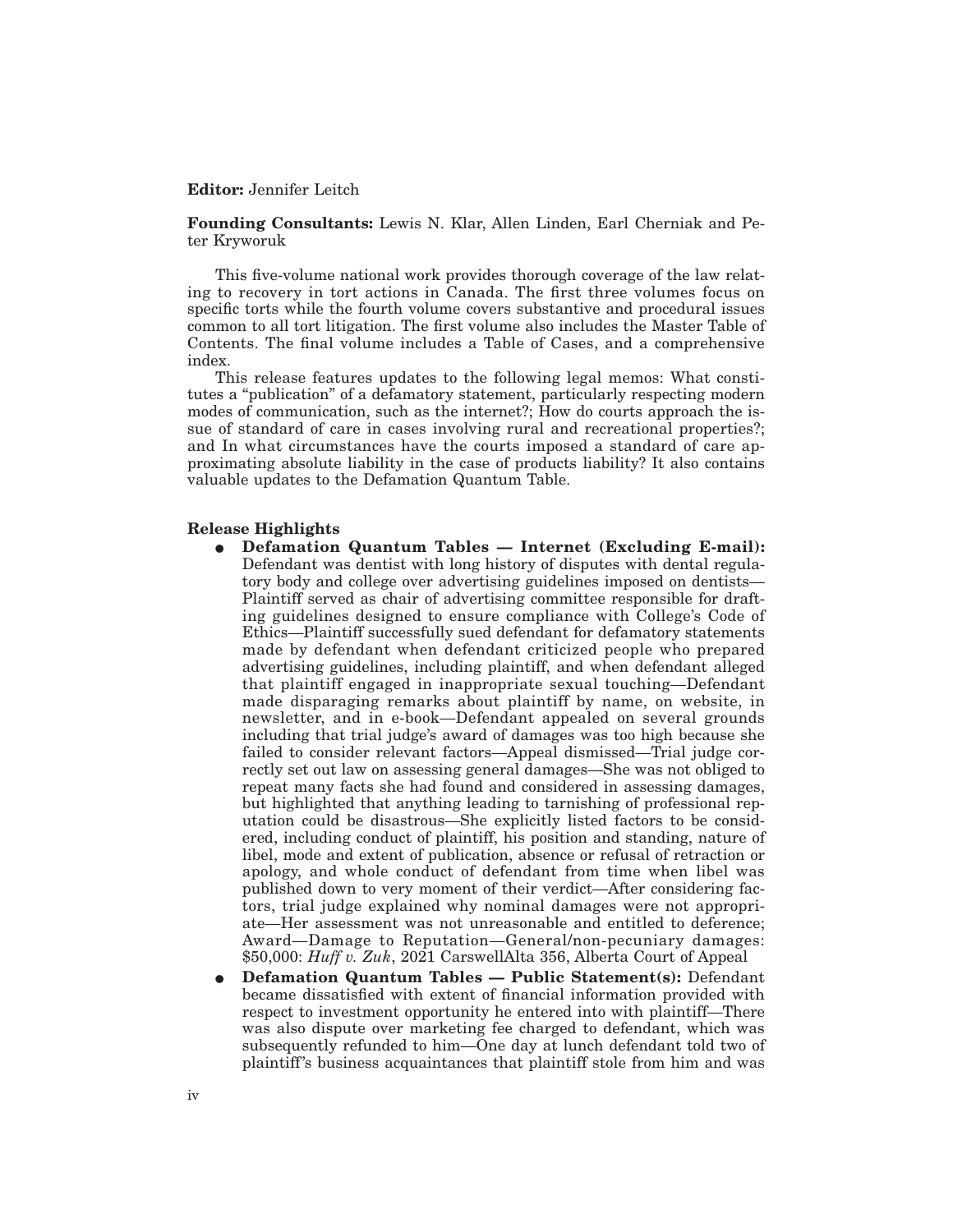## **Editor:** Jennifer Leitch

**Founding Consultants:** Lewis N. Klar, Allen Linden, Earl Cherniak and Peter Kryworuk

This five-volume national work provides thorough coverage of the law relating to recovery in tort actions in Canada. The first three volumes focus on specific torts while the fourth volume covers substantive and procedural issues common to all tort litigation. The first volume also includes the Master Table of Contents. The final volume includes a Table of Cases, and a comprehensive index.

This release features updates to the following legal memos: What constitutes a "publication" of a defamatory statement, particularly respecting modern modes of communication, such as the internet?; How do courts approach the issue of standard of care in cases involving rural and recreational properties?; and In what circumstances have the courts imposed a standard of care approximating absolute liability in the case of products liability? It also contains valuable updates to the Defamation Quantum Table.

## **Release Highlights**

- E **Defamation Quantum Tables Internet (Excluding E-mail):** Defendant was dentist with long history of disputes with dental regulatory body and college over advertising guidelines imposed on dentists— Plaintiff served as chair of advertising committee responsible for drafting guidelines designed to ensure compliance with College's Code of Ethics—Plaintiff successfully sued defendant for defamatory statements made by defendant when defendant criticized people who prepared advertising guidelines, including plaintiff, and when defendant alleged that plaintiff engaged in inappropriate sexual touching—Defendant made disparaging remarks about plaintiff by name, on website, in newsletter, and in e-book—Defendant appealed on several grounds including that trial judge's award of damages was too high because she failed to consider relevant factors—Appeal dismissed—Trial judge correctly set out law on assessing general damages—She was not obliged to repeat many facts she had found and considered in assessing damages, but highlighted that anything leading to tarnishing of professional reputation could be disastrous—She explicitly listed factors to be considered, including conduct of plaintiff, his position and standing, nature of libel, mode and extent of publication, absence or refusal of retraction or apology, and whole conduct of defendant from time when libel was published down to very moment of their verdict—After considering factors, trial judge explained why nominal damages were not appropriate—Her assessment was not unreasonable and entitled to deference; Award—Damage to Reputation—General/non-pecuniary damages: \$50,000: *Huff v. Zuk*, 2021 CarswellAlta 356, Alberta Court of Appeal
- E **Defamation Quantum Tables Public Statement(s):** Defendant became dissatisfied with extent of financial information provided with respect to investment opportunity he entered into with plaintiff—There was also dispute over marketing fee charged to defendant, which was subsequently refunded to him—One day at lunch defendant told two of plaintiff's business acquaintances that plaintiff stole from him and was